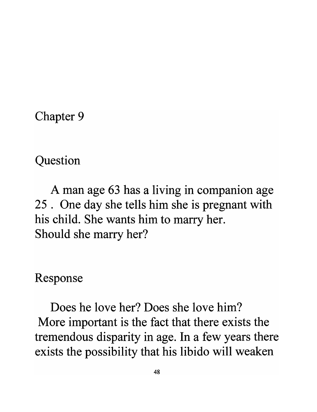Chapter 9

Question

A man age 63 has a living in companion age 25. One day she tells him she is pregnant with his child. She wants him to marry her. Should she marry her?

Response

Does he love her? Does she love him? More important is the fact that there exists the tremendous disparity in age. In a few years there exists the possibility that his libido will weaken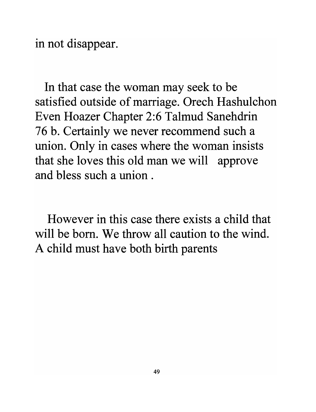in not disappear.

In that case the woman may seek to be satisfied outside of marriage. Orech Hashulchon Even Hoazer Chapter 2:6 Talmud Sanehdrin 76 b. Certainly we never recommend such a union. Only in cases where the woman insists that she loves this old man we will approve and bless such a union.

However in this case there exists a child that will be born. We throw all caution to the wind. A child must have both birth parents